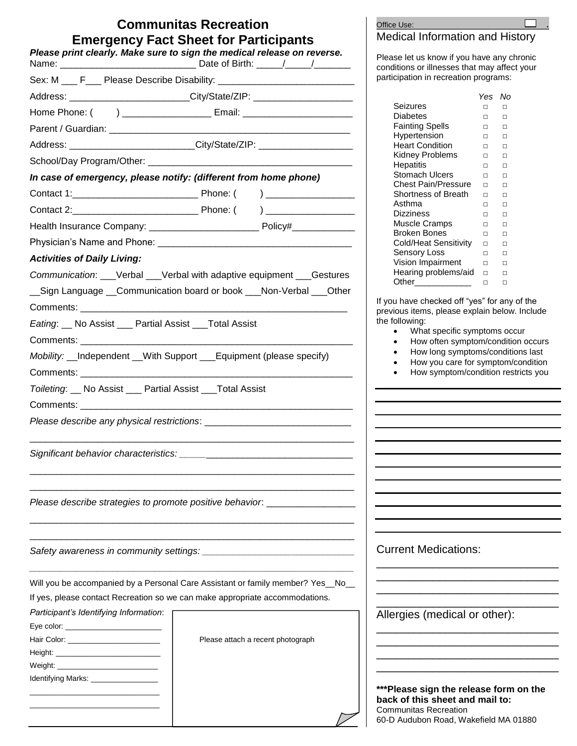| <b>Communitas Recreation</b>                                                     | Office Use:                                                                                   |                                                                           |
|----------------------------------------------------------------------------------|-----------------------------------------------------------------------------------------------|---------------------------------------------------------------------------|
| <b>Emergency Fact Sheet for Participants</b>                                     | <b>Medical Information and History</b>                                                        |                                                                           |
| Please print clearly. Make sure to sign the medical release on reverse.          | Please let us know if you have any chronic<br>conditions or illnesses that may affect your    |                                                                           |
|                                                                                  | participation in recreation programs:                                                         |                                                                           |
| Address: ______________________________City/State/ZIP: _________________________ |                                                                                               | Yes No                                                                    |
|                                                                                  | Seizures                                                                                      | $\Box$<br>$\Box$                                                          |
|                                                                                  | <b>Diabetes</b><br><b>Fainting Spells</b>                                                     | $\Box$<br>$\Box$<br>$\Box$<br>$\Box$                                      |
|                                                                                  | Hypertension                                                                                  | $\Box$<br>$\Box$                                                          |
| Address: ___________________________City/State/ZIP: ____________________________ | <b>Heart Condition</b><br>Kidney Problems                                                     | $\Box$<br>$\Box$<br>$\Box$<br>$\Box$                                      |
|                                                                                  | Hepatitis                                                                                     | $\Box$<br>$\Box$                                                          |
| In case of emergency, please notify: (different from home phone)                 | Stomach Ulcers<br><b>Chest Pain/Pressure</b>                                                  | $\Box$<br>$\Box$<br>$\Box$<br>$\Box$                                      |
|                                                                                  | Shortness of Breath                                                                           | $\Box$<br>$\Box$                                                          |
|                                                                                  | Asthma<br><b>Dizziness</b>                                                                    | $\Box$<br>$\Box$<br>$\Box$<br>$\Box$                                      |
|                                                                                  | Muscle Cramps                                                                                 | $\Box$<br>$\Box$                                                          |
|                                                                                  | <b>Broken Bones</b><br>Cold/Heat Sensitivity                                                  | $\Box$<br>$\Box$                                                          |
|                                                                                  | Sensory Loss                                                                                  | $\Box$<br>$\Box$<br>$\Box$<br>$\Box$                                      |
| <b>Activities of Daily Living:</b>                                               | Vision Impairment                                                                             | $\Box$<br>$\Box$                                                          |
| Communication: ___Verbal ___Verbal with adaptive equipment ___Gestures           | Hearing problems/aid $\Box$<br>Other____________                                              | $\Box$<br>$\Box$<br>$\Box$                                                |
| __Sign Language __Communication board or book ___Non-Verbal ___Other             |                                                                                               |                                                                           |
|                                                                                  | If you have checked off "yes" for any of the<br>previous items, please explain below. Include |                                                                           |
| <i>Eating</i> : No Assist __ Partial Assist ___Total Assist                      | the following:                                                                                |                                                                           |
|                                                                                  | What specific symptoms occur                                                                  | How often symptom/condition occurs                                        |
| Mobility: __Independent __With Support ___Equipment (please specify)             |                                                                                               | How long symptoms/conditions last                                         |
|                                                                                  |                                                                                               | How you care for symptom/condition<br>How symptom/condition restricts you |
| Toileting: No Assist Partial Assist Total Assist                                 |                                                                                               |                                                                           |
|                                                                                  |                                                                                               |                                                                           |
|                                                                                  |                                                                                               |                                                                           |
|                                                                                  |                                                                                               |                                                                           |
|                                                                                  |                                                                                               |                                                                           |
|                                                                                  |                                                                                               |                                                                           |
|                                                                                  |                                                                                               |                                                                           |
|                                                                                  |                                                                                               |                                                                           |
| Please describe strategies to promote positive behavior: _____                   |                                                                                               |                                                                           |
|                                                                                  |                                                                                               |                                                                           |
|                                                                                  |                                                                                               |                                                                           |
|                                                                                  | <b>Current Medications:</b>                                                                   |                                                                           |
|                                                                                  |                                                                                               |                                                                           |
| Will you be accompanied by a Personal Care Assistant or family member? Yes_No_   |                                                                                               |                                                                           |
| If yes, please contact Recreation so we can make appropriate accommodations.     |                                                                                               |                                                                           |
| Participant's Identifying Information:                                           | Allergies (medical or other):                                                                 |                                                                           |
|                                                                                  |                                                                                               |                                                                           |
| Please attach a recent photograph<br>Hair Color: <u>_______________________</u>  |                                                                                               |                                                                           |
|                                                                                  |                                                                                               |                                                                           |
| Weight: _____________________________                                            |                                                                                               |                                                                           |
| Identifying Marks: _________________                                             | *** Please sign the release form on the<br>back of this sheet and mail to:                    |                                                                           |
|                                                                                  | <b>Communitas Recreation</b><br>60-D Audubon Road, Wakefield MA 01880                         |                                                                           |